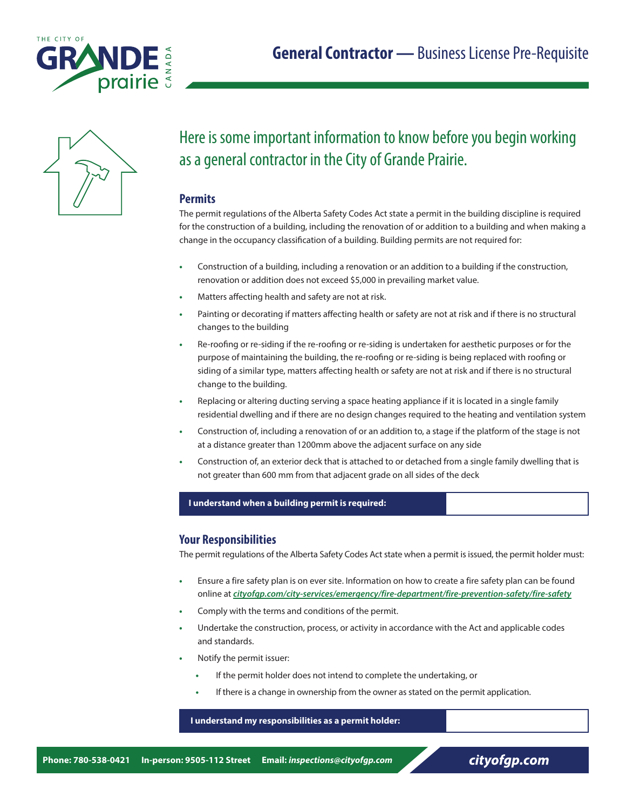



# Here is some important information to know before you begin working as a general contractor in the City of Grande Prairie.

# **Permits**

The permit regulations of the Alberta Safety Codes Act state a permit in the building discipline is required for the construction of a building, including the renovation of or addition to a building and when making a change in the occupancy classification of a building. Building permits are not required for:

- **•** Construction of a building, including a renovation or an addition to a building if the construction, renovation or addition does not exceed \$5,000 in prevailing market value.
- **•** Matters affecting health and safety are not at risk.
- **•** Painting or decorating if matters affecting health or safety are not at risk and if there is no structural changes to the building
- **•** Re-roofing or re-siding if the re-roofing or re-siding is undertaken for aesthetic purposes or for the purpose of maintaining the building, the re-roofing or re-siding is being replaced with roofing or siding of a similar type, matters affecting health or safety are not at risk and if there is no structural change to the building.
- **•** Replacing or altering ducting serving a space heating appliance if it is located in a single family residential dwelling and if there are no design changes required to the heating and ventilation system
- **•** Construction of, including a renovation of or an addition to, a stage if the platform of the stage is not at a distance greater than 1200mm above the adjacent surface on any side
- **•** Construction of, an exterior deck that is attached to or detached from a single family dwelling that is not greater than 600 mm from that adjacent grade on all sides of the deck

### **I understand when a building permit is required:**

# **Your Responsibilities**

The permit regulations of the Alberta Safety Codes Act state when a permit is issued, the permit holder must:

- **•** Ensure a fire safety plan is on ever site. Information on how to create a fire safety plan can be found online at *[cityofgp.com/city-services/emergency/fire-department/fire-prevention-safety/fire-safety](https://www.cityofgp.com/city-services/emergency/fire-department/fire-prevention-safety/fire-safety)*
- **•** Comply with the terms and conditions of the permit.
- **•** Undertake the construction, process, or activity in accordance with the Act and applicable codes and standards.
- **•** Notify the permit issuer:
	- **•** If the permit holder does not intend to complete the undertaking, or
	- **•** If there is a change in ownership from the owner as stated on the permit application.

### **I understand my responsibilities as a permit holder:**